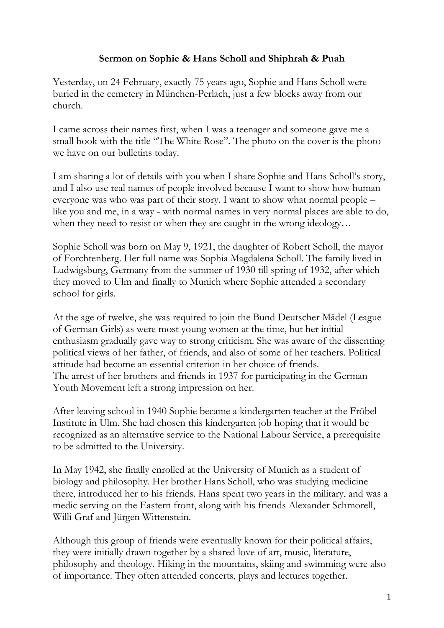## **Sermon on Sophie & Hans Scholl and Shiphrah & Puah**

Yesterday, on 24 February, exactly 75 years ago, Sophie and Hans Scholl were buried in the cemetery in München-Perlach, just a few blocks away from our church.

I came across their names first, when I was a teenager and someone gave me a small book with the title "The White Rose". The photo on the cover is the photo we have on our bulletins today.

I am sharing a lot of details with you when I share Sophie and Hans Scholl's story, and I also use real names of people involved because I want to show how human everyone was who was part of their story. I want to show what normal people – like you and me, in a way - with normal names in very normal places are able to do, when they need to resist or when they are caught in the wrong ideology...

Sophie Scholl was born on May 9, 1921, the daughter of Robert Scholl, the mayor of Forchtenberg. Her full name was Sophia Magdalena Scholl. The family lived in Ludwigsburg, Germany from the summer of 1930 till spring of 1932, after which they moved to Ulm and finally to Munich where Sophie attended a secondary school for girls.

At the age of twelve, she was required to join the Bund Deutscher Mädel (League of German Girls) as were most young women at the time, but her initial enthusiasm gradually gave way to strong criticism. She was aware of the dissenting political views of her father, of friends, and also of some of her teachers. Political attitude had become an essential criterion in her choice of friends. The arrest of her brothers and friends in 1937 for participating in the German Youth Movement left a strong impression on her.

After leaving school in 1940 Sophie became a kindergarten teacher at the Fröbel Institute in Ulm. She had chosen this kindergarten job hoping that it would be recognized as an alternative service to the National Labour Service, a prerequisite to be admitted to the University.

In May 1942, she finally enrolled at the University of Munich as a student of biology and philosophy. Her brother Hans Scholl, who was studying medicine there, introduced her to his friends. Hans spent two years in the military, and was a medic serving on the Eastern front, along with his friends Alexander Schmorell, Willi Graf and Jürgen Wittenstein.

Although this group of friends were eventually known for their political affairs, they were initially drawn together by a shared love of art, music, literature, philosophy and theology. Hiking in the mountains, skiing and swimming were also of importance. They often attended concerts, plays and lectures together.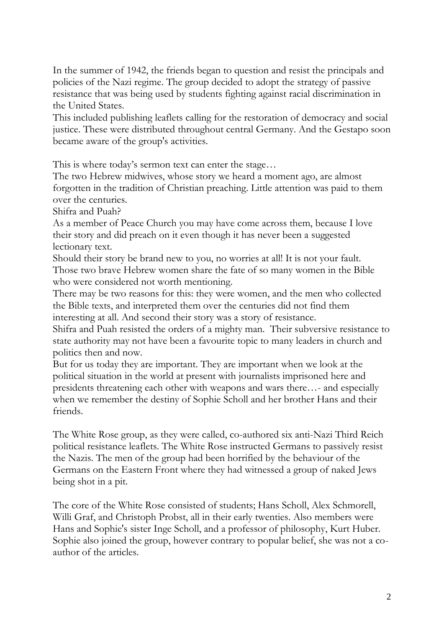In the summer of 1942, the friends began to question and resist the principals and policies of the Nazi regime. The group decided to adopt the strategy of passive resistance that was being used by students fighting against racial discrimination in the United States.

This included publishing leaflets calling for the restoration of democracy and social justice. These were distributed throughout central Germany. And the Gestapo soon became aware of the group's activities.

This is where today's sermon text can enter the stage…

The two Hebrew midwives, whose story we heard a moment ago, are almost forgotten in the tradition of Christian preaching. Little attention was paid to them over the centuries.

Shifra and Puah?

As a member of Peace Church you may have come across them, because I love their story and did preach on it even though it has never been a suggested lectionary text.

Should their story be brand new to you, no worries at all! It is not your fault. Those two brave Hebrew women share the fate of so many women in the Bible who were considered not worth mentioning.

There may be two reasons for this: they were women, and the men who collected the Bible texts, and interpreted them over the centuries did not find them interesting at all. And second their story was a story of resistance.

Shifra and Puah resisted the orders of a mighty man. Their subversive resistance to state authority may not have been a favourite topic to many leaders in church and politics then and now.

But for us today they are important. They are important when we look at the political situation in the world at present with journalists imprisoned here and presidents threatening each other with weapons and wars there…- and especially when we remember the destiny of Sophie Scholl and her brother Hans and their friends.

The White Rose group, as they were called, co-authored six anti-Nazi Third Reich political resistance leaflets. The White Rose instructed Germans to passively resist the Nazis. The men of the group had been horrified by the behaviour of the Germans on the Eastern Front where they had witnessed a group of naked Jews being shot in a pit.

The core of the White Rose consisted of students; Hans Scholl, Alex Schmorell, Willi Graf, and Christoph Probst, all in their early twenties. Also members were Hans and Sophie's sister Inge Scholl, and a professor of philosophy, Kurt Huber. Sophie also joined the group, however contrary to popular belief, she was not a coauthor of the articles.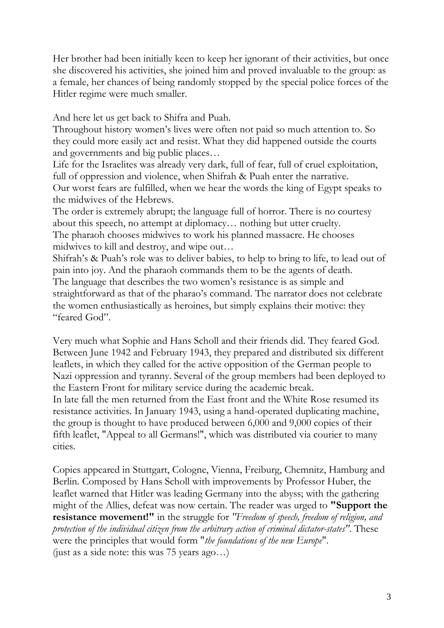Her brother had been initially keen to keep her ignorant of their activities, but once she discovered his activities, she joined him and proved invaluable to the group: as a female, her chances of being randomly stopped by the special police forces of the Hitler regime were much smaller.

And here let us get back to Shifra and Puah.

Throughout history women's lives were often not paid so much attention to. So they could more easily act and resist. What they did happened outside the courts and governments and big public places…

Life for the Israelites was already very dark, full of fear, full of cruel exploitation, full of oppression and violence, when Shifrah & Puah enter the narrative.

Our worst fears are fulfilled, when we hear the words the king of Egypt speaks to the midwives of the Hebrews.

The order is extremely abrupt; the language full of horror. There is no courtesy about this speech, no attempt at diplomacy… nothing but utter cruelty. The pharaoh chooses midwives to work his planned massacre. He chooses

midwives to kill and destroy, and wipe out… Shifrah's & Puah's role was to deliver babies, to help to bring to life, to lead out of pain into joy. And the pharaoh commands them to be the agents of death.

The language that describes the two women's resistance is as simple and straightforward as that of the pharao's command. The narrator does not celebrate the women enthusiastically as heroines, but simply explains their motive: they "feared God".

Very much what Sophie and Hans Scholl and their friends did. They feared God. Between June 1942 and February 1943, they prepared and distributed six different leaflets, in which they called for the active opposition of the German people to Nazi oppression and tyranny. Several of the group members had been deployed to the Eastern Front for military service during the academic break.

In late fall the men returned from the East front and the White Rose resumed its resistance activities. In January 1943, using a hand-operated duplicating machine, the group is thought to have produced between 6,000 and 9,000 copies of their fifth leaflet, "Appeal to all Germans!", which was distributed via courier to many cities.

Copies appeared in Stuttgart, Cologne, Vienna, Freiburg, Chemnitz, Hamburg and Berlin. Composed by Hans Scholl with improvements by Professor Huber, the leaflet warned that Hitler was leading Germany into the abyss; with the gathering might of the Allies, defeat was now certain. The reader was urged to **"Support the resistance movement!"** in the struggle for *"Freedom of speech, freedom of religion, and protection of the individual citizen from the arbitrary action of criminal dictator-states"*. These were the principles that would form "*the foundations of the new Europe*". (just as a side note: this was 75 years ago…)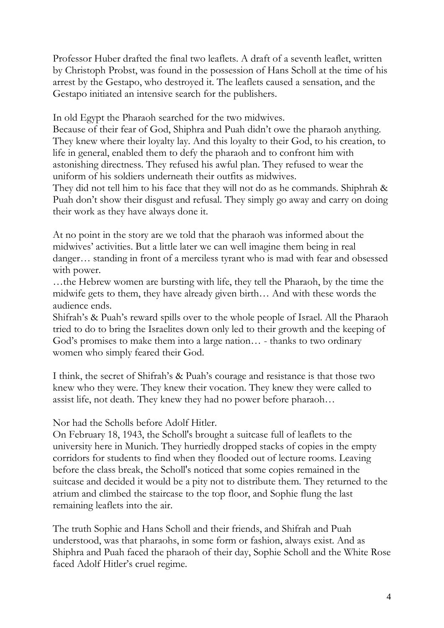Professor Huber drafted the final two leaflets. A draft of a seventh leaflet, written by Christoph Probst, was found in the possession of Hans Scholl at the time of his arrest by the Gestapo, who destroyed it. The leaflets caused a sensation, and the Gestapo initiated an intensive search for the publishers.

In old Egypt the Pharaoh searched for the two midwives.

Because of their fear of God, Shiphra and Puah didn't owe the pharaoh anything. They knew where their loyalty lay. And this loyalty to their God, to his creation, to life in general, enabled them to defy the pharaoh and to confront him with astonishing directness. They refused his awful plan. They refused to wear the uniform of his soldiers underneath their outfits as midwives.

They did not tell him to his face that they will not do as he commands. Shiphrah & Puah don't show their disgust and refusal. They simply go away and carry on doing their work as they have always done it.

At no point in the story are we told that the pharaoh was informed about the midwives' activities. But a little later we can well imagine them being in real danger… standing in front of a merciless tyrant who is mad with fear and obsessed with power.

…the Hebrew women are bursting with life, they tell the Pharaoh, by the time the midwife gets to them, they have already given birth… And with these words the audience ends.

Shifrah's & Puah's reward spills over to the whole people of Israel. All the Pharaoh tried to do to bring the Israelites down only led to their growth and the keeping of God's promises to make them into a large nation… - thanks to two ordinary women who simply feared their God.

I think, the secret of Shifrah's & Puah's courage and resistance is that those two knew who they were. They knew their vocation. They knew they were called to assist life, not death. They knew they had no power before pharaoh…

Nor had the Scholls before Adolf Hitler.

On February 18, 1943, the Scholl's brought a suitcase full of leaflets to the university here in Munich. They hurriedly dropped stacks of copies in the empty corridors for students to find when they flooded out of lecture rooms. Leaving before the class break, the Scholl's noticed that some copies remained in the suitcase and decided it would be a pity not to distribute them. They returned to the atrium and climbed the staircase to the top floor, and Sophie flung the last remaining leaflets into the air.

The truth Sophie and Hans Scholl and their friends, and Shifrah and Puah understood, was that pharaohs, in some form or fashion, always exist. And as Shiphra and Puah faced the pharaoh of their day, Sophie Scholl and the White Rose faced Adolf Hitler's cruel regime.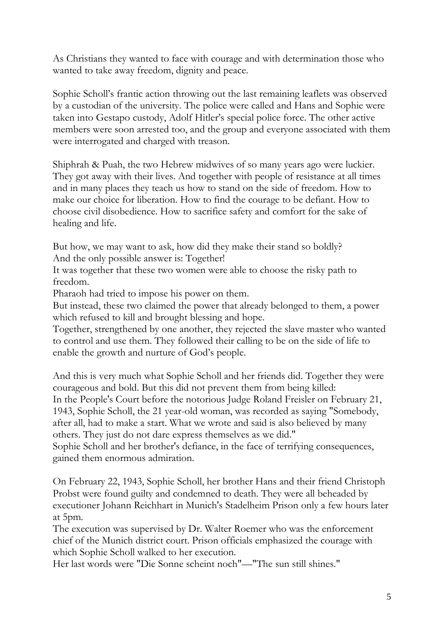As Christians they wanted to face with courage and with determination those who wanted to take away freedom, dignity and peace.

Sophie Scholl's frantic action throwing out the last remaining leaflets was observed by a custodian of the university. The police were called and Hans and Sophie were taken into Gestapo custody, Adolf Hitler's special police force. The other active members were soon arrested too, and the group and everyone associated with them were interrogated and charged with treason.

Shiphrah & Puah, the two Hebrew midwives of so many years ago were luckier. They got away with their lives. And together with people of resistance at all times and in many places they teach us how to stand on the side of freedom. How to make our choice for liberation. How to find the courage to be defiant. How to choose civil disobedience. How to sacrifice safety and comfort for the sake of healing and life.

But how, we may want to ask, how did they make their stand so boldly? And the only possible answer is: Together!

It was together that these two women were able to choose the risky path to freedom.

Pharaoh had tried to impose his power on them.

But instead, these two claimed the power that already belonged to them, a power which refused to kill and brought blessing and hope.

Together, strengthened by one another, they rejected the slave master who wanted to control and use them. They followed their calling to be on the side of life to enable the growth and nurture of God's people.

And this is very much what Sophie Scholl and her friends did. Together they were courageous and bold. But this did not prevent them from being killed: In the People's Court before the notorious Judge Roland Freisler on February 21, 1943, Sophie Scholl, the 21 year-old woman, was recorded as saying "Somebody, after all, had to make a start. What we wrote and said is also believed by many others. They just do not dare express themselves as we did."

Sophie Scholl and her brother's defiance, in the face of terrifying consequences, gained them enormous admiration.

On February 22, 1943, Sophie Scholl, her brother Hans and their friend Christoph Probst were found guilty and condemned to death. They were all beheaded by executioner Johann Reichhart in Munich's Stadelheim Prison only a few hours later at 5pm.

The execution was supervised by Dr. Walter Roemer who was the enforcement chief of the Munich district court. Prison officials emphasized the courage with which Sophie Scholl walked to her execution.

Her last words were "Die Sonne scheint noch"—"The sun still shines."